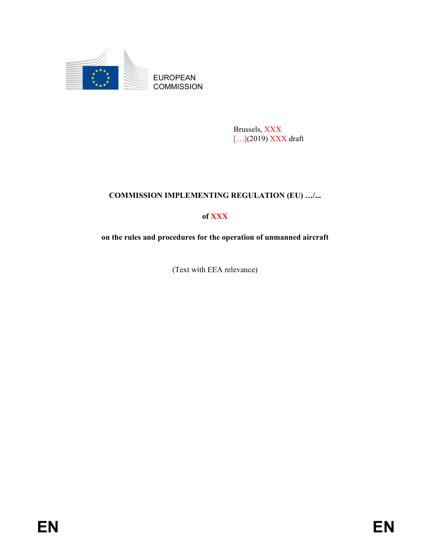

Brussels, XXX […](2019) XXX draft

# COMMISSION IMPLEMENTING REGULATION (EU) …/...

# of XXX

on the rules and procedures for the operation of unmanned aircraft

(Text with EEA relevance)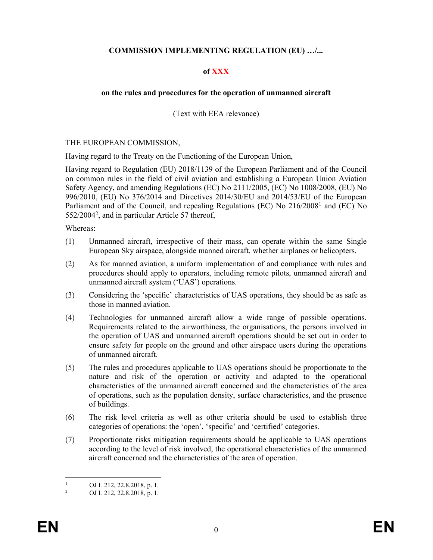## COMMISSION IMPLEMENTING REGULATION (EU) …/...

### of XXX

### on the rules and procedures for the operation of unmanned aircraft

(Text with EEA relevance)

#### THE EUROPEAN COMMISSION,

Having regard to the Treaty on the Functioning of the European Union,

Having regard to Regulation (EU) 2018/1139 of the European Parliament and of the Council on common rules in the field of civil aviation and establishing a European Union Aviation Safety Agency, and amending Regulations (EC) No 2111/2005, (EC) No 1008/2008, (EU) No 996/2010, (EU) No 376/2014 and Directives 2014/30/EU and 2014/53/EU of the European Parliament and of the Council, and repealing Regulations (EC) No 216/2008<sup>1</sup> and (EC) No 552/2004<sup>2</sup> , and in particular Article 57 thereof,

Whereas:

- (1) Unmanned aircraft, irrespective of their mass, can operate within the same Single European Sky airspace, alongside manned aircraft, whether airplanes or helicopters.
- (2) As for manned aviation, a uniform implementation of and compliance with rules and procedures should apply to operators, including remote pilots, unmanned aircraft and unmanned aircraft system ('UAS') operations.
- (3) Considering the 'specific' characteristics of UAS operations, they should be as safe as those in manned aviation.
- (4) Technologies for unmanned aircraft allow a wide range of possible operations. Requirements related to the airworthiness, the organisations, the persons involved in the operation of UAS and unmanned aircraft operations should be set out in order to ensure safety for people on the ground and other airspace users during the operations of unmanned aircraft.
- (5) The rules and procedures applicable to UAS operations should be proportionate to the nature and risk of the operation or activity and adapted to the operational characteristics of the unmanned aircraft concerned and the characteristics of the area of operations, such as the population density, surface characteristics, and the presence of buildings.
- (6) The risk level criteria as well as other criteria should be used to establish three categories of operations: the 'open', 'specific' and 'certified' categories.
- (7) Proportionate risks mitigation requirements should be applicable to UAS operations according to the level of risk involved, the operational characteristics of the unmanned aircraft concerned and the characteristics of the area of operation.

-

<sup>1</sup> OJ L 212, 22.8.2018, p. 1.

<sup>2</sup> OJ L 212, 22.8.2018, p. 1.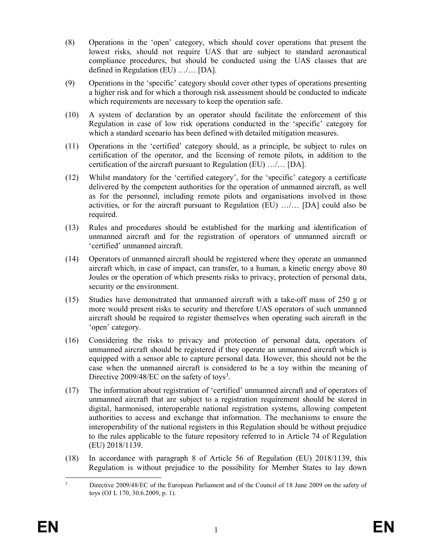- (8) Operations in the 'open' category, which should cover operations that present the lowest risks, should not require UAS that are subject to standard aeronautical compliance procedures, but should be conducted using the UAS classes that are defined in Regulation (EU) …/… [DA].
- (9) Operations in the 'specific' category should cover other types of operations presenting a higher risk and for which a thorough risk assessment should be conducted to indicate which requirements are necessary to keep the operation safe.
- (10) A system of declaration by an operator should facilitate the enforcement of this Regulation in case of low risk operations conducted in the 'specific' category for which a standard scenario has been defined with detailed mitigation measures.
- (11) Operations in the 'certified' category should, as a principle, be subject to rules on certification of the operator, and the licensing of remote pilots, in addition to the certification of the aircraft pursuant to Regulation (EU) …/… [DA].
- (12) Whilst mandatory for the 'certified category', for the 'specific' category a certificate delivered by the competent authorities for the operation of unmanned aircraft, as well as for the personnel, including remote pilots and organisations involved in those activities, or for the aircraft pursuant to Regulation (EU) …/… [DA] could also be required.
- (13) Rules and procedures should be established for the marking and identification of unmanned aircraft and for the registration of operators of unmanned aircraft or 'certified' unmanned aircraft.
- (14) Operators of unmanned aircraft should be registered where they operate an unmanned aircraft which, in case of impact, can transfer, to a human, a kinetic energy above 80 Joules or the operation of which presents risks to privacy, protection of personal data, security or the environment.
- (15) Studies have demonstrated that unmanned aircraft with a take-off mass of 250 g or more would present risks to security and therefore UAS operators of such unmanned aircraft should be required to register themselves when operating such aircraft in the 'open' category.
- (16) Considering the risks to privacy and protection of personal data, operators of unmanned aircraft should be registered if they operate an unmanned aircraft which is equipped with a sensor able to capture personal data. However, this should not be the case when the unmanned aircraft is considered to be a toy within the meaning of Directive 2009/48/EC on the safety of toys<sup>3</sup>.
- (17) The information about registration of 'certified' unmanned aircraft and of operators of unmanned aircraft that are subject to a registration requirement should be stored in digital, harmonised, interoperable national registration systems, allowing competent authorities to access and exchange that information. The mechanisms to ensure the interoperability of the national registers in this Regulation should be without prejudice to the rules applicable to the future repository referred to in Article 74 of Regulation (EU) 2018/1139.
- (18) In accordance with paragraph 8 of Article 56 of Regulation (EU) 2018/1139, this Regulation is without prejudice to the possibility for Member States to lay down

 $\frac{1}{3}$  Directive 2009/48/EC of the European Parliament and of the Council of 18 June 2009 on the safety of toys (OJ L 170, 30.6.2009, p. 1).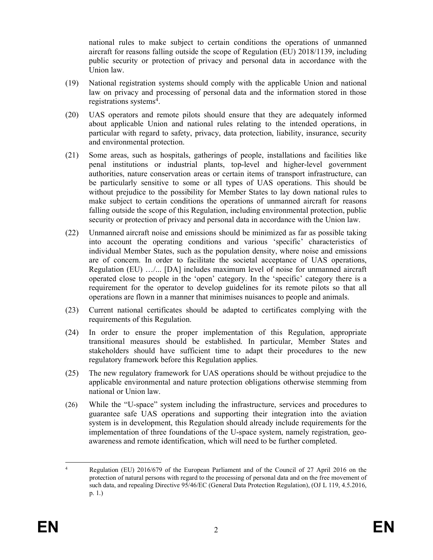national rules to make subject to certain conditions the operations of unmanned aircraft for reasons falling outside the scope of Regulation (EU) 2018/1139, including public security or protection of privacy and personal data in accordance with the Union law.

- (19) National registration systems should comply with the applicable Union and national law on privacy and processing of personal data and the information stored in those registrations systems<sup>4</sup>.
- (20) UAS operators and remote pilots should ensure that they are adequately informed about applicable Union and national rules relating to the intended operations, in particular with regard to safety, privacy, data protection, liability, insurance, security and environmental protection.
- (21) Some areas, such as hospitals, gatherings of people, installations and facilities like penal institutions or industrial plants, top-level and higher-level government authorities, nature conservation areas or certain items of transport infrastructure, can be particularly sensitive to some or all types of UAS operations. This should be without prejudice to the possibility for Member States to lay down national rules to make subject to certain conditions the operations of unmanned aircraft for reasons falling outside the scope of this Regulation, including environmental protection, public security or protection of privacy and personal data in accordance with the Union law.
- (22) Unmanned aircraft noise and emissions should be minimized as far as possible taking into account the operating conditions and various 'specific' characteristics of individual Member States, such as the population density, where noise and emissions are of concern. In order to facilitate the societal acceptance of UAS operations, Regulation (EU) …/... [DA] includes maximum level of noise for unmanned aircraft operated close to people in the 'open' category. In the 'specific' category there is a requirement for the operator to develop guidelines for its remote pilots so that all operations are flown in a manner that minimises nuisances to people and animals.
- (23) Current national certificates should be adapted to certificates complying with the requirements of this Regulation.
- (24) In order to ensure the proper implementation of this Regulation, appropriate transitional measures should be established. In particular, Member States and stakeholders should have sufficient time to adapt their procedures to the new regulatory framework before this Regulation applies.
- (25) The new regulatory framework for UAS operations should be without prejudice to the applicable environmental and nature protection obligations otherwise stemming from national or Union law.
- (26) While the "U-space" system including the infrastructure, services and procedures to guarantee safe UAS operations and supporting their integration into the aviation system is in development, this Regulation should already include requirements for the implementation of three foundations of the U-space system, namely registration, geoawareness and remote identification, which will need to be further completed.

<sup>-</sup>4 Regulation (EU) 2016/679 of the European Parliament and of the Council of 27 April 2016 on the protection of natural persons with regard to the processing of personal data and on the free movement of such data, and repealing Directive 95/46/EC (General Data Protection Regulation), (OJ L 119, 4.5.2016, p. 1.)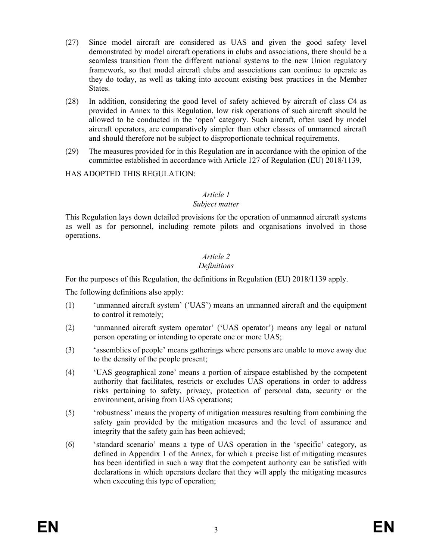- (27) Since model aircraft are considered as UAS and given the good safety level demonstrated by model aircraft operations in clubs and associations, there should be a seamless transition from the different national systems to the new Union regulatory framework, so that model aircraft clubs and associations can continue to operate as they do today, as well as taking into account existing best practices in the Member States.
- (28) In addition, considering the good level of safety achieved by aircraft of class C4 as provided in Annex to this Regulation, low risk operations of such aircraft should be allowed to be conducted in the 'open' category. Such aircraft, often used by model aircraft operators, are comparatively simpler than other classes of unmanned aircraft and should therefore not be subject to disproportionate technical requirements.
- (29) The measures provided for in this Regulation are in accordance with the opinion of the committee established in accordance with Article 127 of Regulation (EU) 2018/1139,

## HAS ADOPTED THIS REGULATION:

## Article 1

## Subject matter

This Regulation lays down detailed provisions for the operation of unmanned aircraft systems as well as for personnel, including remote pilots and organisations involved in those operations.

#### Article 2 Definitions

For the purposes of this Regulation, the definitions in Regulation (EU) 2018/1139 apply.

The following definitions also apply:

- (1) 'unmanned aircraft system' ('UAS') means an unmanned aircraft and the equipment to control it remotely;
- (2) 'unmanned aircraft system operator' ('UAS operator') means any legal or natural person operating or intending to operate one or more UAS;
- (3) 'assemblies of people' means gatherings where persons are unable to move away due to the density of the people present;
- (4) 'UAS geographical zone' means a portion of airspace established by the competent authority that facilitates, restricts or excludes UAS operations in order to address risks pertaining to safety, privacy, protection of personal data, security or the environment, arising from UAS operations;
- (5) 'robustness' means the property of mitigation measures resulting from combining the safety gain provided by the mitigation measures and the level of assurance and integrity that the safety gain has been achieved;
- (6) 'standard scenario' means a type of UAS operation in the 'specific' category, as defined in Appendix 1 of the Annex, for which a precise list of mitigating measures has been identified in such a way that the competent authority can be satisfied with declarations in which operators declare that they will apply the mitigating measures when executing this type of operation;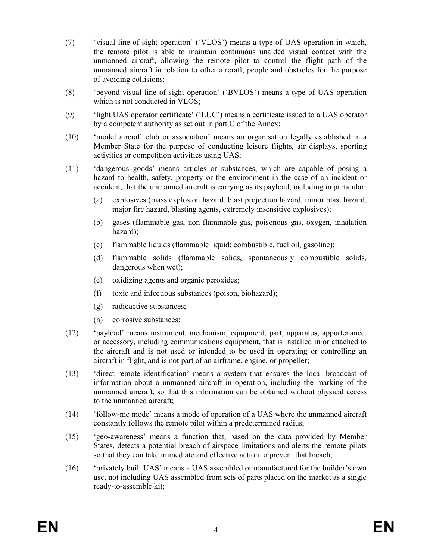- (7) 'visual line of sight operation' ('VLOS') means a type of UAS operation in which, the remote pilot is able to maintain continuous unaided visual contact with the unmanned aircraft, allowing the remote pilot to control the flight path of the unmanned aircraft in relation to other aircraft, people and obstacles for the purpose of avoiding collisions;
- (8) 'beyond visual line of sight operation' ('BVLOS') means a type of UAS operation which is not conducted in VLOS;
- (9) 'light UAS operator certificate' ('LUC') means a certificate issued to a UAS operator by a competent authority as set out in part C of the Annex;
- (10) 'model aircraft club or association' means an organisation legally established in a Member State for the purpose of conducting leisure flights, air displays, sporting activities or competition activities using UAS;
- (11) 'dangerous goods' means articles or substances, which are capable of posing a hazard to health, safety, property or the environment in the case of an incident or accident, that the unmanned aircraft is carrying as its payload, including in particular:
	- (a) explosives (mass explosion hazard, blast projection hazard, minor blast hazard, major fire hazard, blasting agents, extremely insensitive explosives);
	- (b) gases (flammable gas, non-flammable gas, poisonous gas, oxygen, inhalation hazard);
	- (c) flammable liquids (flammable liquid; combustible, fuel oil, gasoline);
	- (d) flammable solids (flammable solids, spontaneously combustible solids, dangerous when wet);
	- (e) oxidizing agents and organic peroxides;
	- (f) toxic and infectious substances (poison, biohazard);
	- (g) radioactive substances;
	- (h) corrosive substances;
- (12) 'payload' means instrument, mechanism, equipment, part, apparatus, appurtenance, or accessory, including communications equipment, that is installed in or attached to the aircraft and is not used or intended to be used in operating or controlling an aircraft in flight, and is not part of an airframe, engine, or propeller;
- (13) 'direct remote identification' means a system that ensures the local broadcast of information about a unmanned aircraft in operation, including the marking of the unmanned aircraft, so that this information can be obtained without physical access to the unmanned aircraft;
- (14) 'follow-me mode' means a mode of operation of a UAS where the unmanned aircraft constantly follows the remote pilot within a predetermined radius;
- (15) 'geo-awareness' means a function that, based on the data provided by Member States, detects a potential breach of airspace limitations and alerts the remote pilots so that they can take immediate and effective action to prevent that breach;
- (16) 'privately built UAS' means a UAS assembled or manufactured for the builder's own use, not including UAS assembled from sets of parts placed on the market as a single ready-to-assemble kit;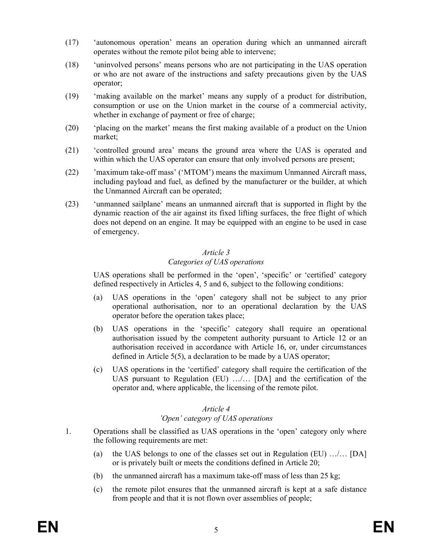- (17) 'autonomous operation' means an operation during which an unmanned aircraft operates without the remote pilot being able to intervene;
- (18) 'uninvolved persons' means persons who are not participating in the UAS operation or who are not aware of the instructions and safety precautions given by the UAS operator;
- (19) 'making available on the market' means any supply of a product for distribution, consumption or use on the Union market in the course of a commercial activity, whether in exchange of payment or free of charge;
- (20) 'placing on the market' means the first making available of a product on the Union market;
- (21) 'controlled ground area' means the ground area where the UAS is operated and within which the UAS operator can ensure that only involved persons are present;
- (22) 'maximum take-off mass' ('MTOM') means the maximum Unmanned Aircraft mass, including payload and fuel, as defined by the manufacturer or the builder, at which the Unmanned Aircraft can be operated;
- (23) 'unmanned sailplane' means an unmanned aircraft that is supported in flight by the dynamic reaction of the air against its fixed lifting surfaces, the free flight of which does not depend on an engine. It may be equipped with an engine to be used in case of emergency.

## Categories of UAS operations

UAS operations shall be performed in the 'open', 'specific' or 'certified' category defined respectively in Articles 4, 5 and 6, subject to the following conditions:

- (a) UAS operations in the 'open' category shall not be subject to any prior operational authorisation, nor to an operational declaration by the UAS operator before the operation takes place;
- (b) UAS operations in the 'specific' category shall require an operational authorisation issued by the competent authority pursuant to Article 12 or an authorisation received in accordance with Article 16, or, under circumstances defined in Article 5(5), a declaration to be made by a UAS operator;
- (c) UAS operations in the 'certified' category shall require the certification of the UAS pursuant to Regulation (EU) …/… [DA] and the certification of the operator and, where applicable, the licensing of the remote pilot.

### Article 4 'Open' category of UAS operations

- 1. Operations shall be classified as UAS operations in the 'open' category only where the following requirements are met:
	- (a) the UAS belongs to one of the classes set out in Regulation (EU)  $\ldots$ ... [DA] or is privately built or meets the conditions defined in Article 20;
	- (b) the unmanned aircraft has a maximum take-off mass of less than  $25 \text{ kg}$ ;
	- (c) the remote pilot ensures that the unmanned aircraft is kept at a safe distance from people and that it is not flown over assemblies of people;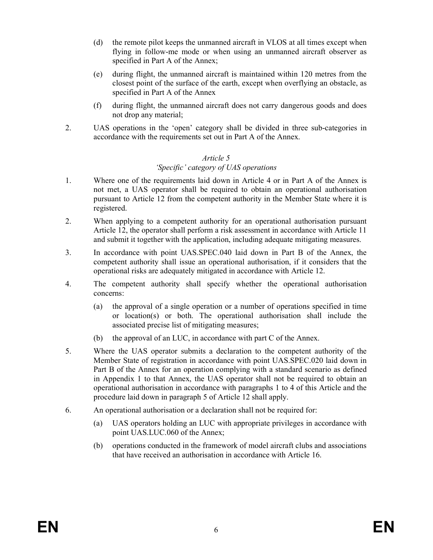- (d) the remote pilot keeps the unmanned aircraft in VLOS at all times except when flying in follow-me mode or when using an unmanned aircraft observer as specified in Part A of the Annex;
- (e) during flight, the unmanned aircraft is maintained within 120 metres from the closest point of the surface of the earth, except when overflying an obstacle, as specified in Part A of the Annex
- (f) during flight, the unmanned aircraft does not carry dangerous goods and does not drop any material;
- 2. UAS operations in the 'open' category shall be divided in three sub-categories in accordance with the requirements set out in Part A of the Annex.

## 'Specific' category of UAS operations

- 1. Where one of the requirements laid down in Article 4 or in Part A of the Annex is not met, a UAS operator shall be required to obtain an operational authorisation pursuant to Article 12 from the competent authority in the Member State where it is registered.
- 2. When applying to a competent authority for an operational authorisation pursuant Article 12, the operator shall perform a risk assessment in accordance with Article 11 and submit it together with the application, including adequate mitigating measures.
- 3. In accordance with point UAS.SPEC.040 laid down in Part B of the Annex, the competent authority shall issue an operational authorisation, if it considers that the operational risks are adequately mitigated in accordance with Article 12.
- 4. The competent authority shall specify whether the operational authorisation concerns:
	- (a) the approval of a single operation or a number of operations specified in time or location(s) or both. The operational authorisation shall include the associated precise list of mitigating measures;
	- (b) the approval of an LUC, in accordance with part C of the Annex.
- 5. Where the UAS operator submits a declaration to the competent authority of the Member State of registration in accordance with point UAS.SPEC.020 laid down in Part B of the Annex for an operation complying with a standard scenario as defined in Appendix 1 to that Annex, the UAS operator shall not be required to obtain an operational authorisation in accordance with paragraphs 1 to 4 of this Article and the procedure laid down in paragraph 5 of Article 12 shall apply.
- 6. An operational authorisation or a declaration shall not be required for:
	- (a) UAS operators holding an LUC with appropriate privileges in accordance with point UAS.LUC.060 of the Annex;
	- (b) operations conducted in the framework of model aircraft clubs and associations that have received an authorisation in accordance with Article 16.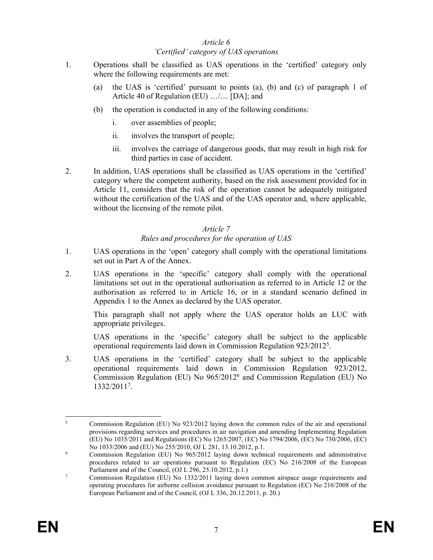### Article 6 'Certified' category of UAS operations

- 1. Operations shall be classified as UAS operations in the 'certified' category only where the following requirements are met:
	- (a) the UAS is 'certified' pursuant to points (a), (b) and (c) of paragraph 1 of Article 40 of Regulation (EU) …/… [DA]; and
	- (b) the operation is conducted in any of the following conditions:
		- i. over assemblies of people;
		- ii. involves the transport of people;
		- iii. involves the carriage of dangerous goods, that may result in high risk for third parties in case of accident.
- 2. In addition, UAS operations shall be classified as UAS operations in the 'certified' category where the competent authority, based on the risk assessment provided for in Article 11, considers that the risk of the operation cannot be adequately mitigated without the certification of the UAS and of the UAS operator and, where applicable, without the licensing of the remote pilot.

## Article 7

## Rules and procedures for the operation of UAS

- 1. UAS operations in the 'open' category shall comply with the operational limitations set out in Part A of the Annex.
- 2. UAS operations in the 'specific' category shall comply with the operational limitations set out in the operational authorisation as referred to in Article 12 or the authorisation as referred to in Article 16, or in a standard scenario defined in Appendix 1 to the Annex as declared by the UAS operator.

This paragraph shall not apply where the UAS operator holds an LUC with appropriate privileges.

UAS operations in the 'specific' category shall be subject to the applicable operational requirements laid down in Commission Regulation 923/2012<sup>5</sup> .

3. UAS operations in the 'certified' category shall be subject to the applicable operational requirements laid down in Commission Regulation 923/2012, Commission Regulation (EU) No 965/2012<sup>6</sup> and Commission Regulation (EU) No 1332/2011<sup>7</sup> .

<sup>-</sup>5 Commission Regulation (EU) No 923/2012 laying down the common rules of the air and operational provisions regarding services and procedures in air navigation and amending Implementing Regulation (EU) No 1035/2011 and Regulations (EC) No 1265/2007, (EC) No 1794/2006, (EC) No 730/2006, (EC) No 1033/2006 and (EU) No 255/2010, OJ L 281, 13.10.2012, p.1.

<sup>6</sup> Commission Regulation (EU) No 965/2012 laying down technical requirements and administrative procedures related to air operations pursuant to Regulation (EC) No 216/2008 of the European Parliament and of the Council, (OJ L 296, 25.10.2012, p.1.)

<sup>7</sup> Commission Regulation (EU) No 1332/2011 laying down common airspace usage requirements and operating procedures for airborne collision avoidance pursuant to Regulation (EC) No 216/2008 of the European Parliament and of the Council, (OJ L 336, 20.12.2011, p. 20.)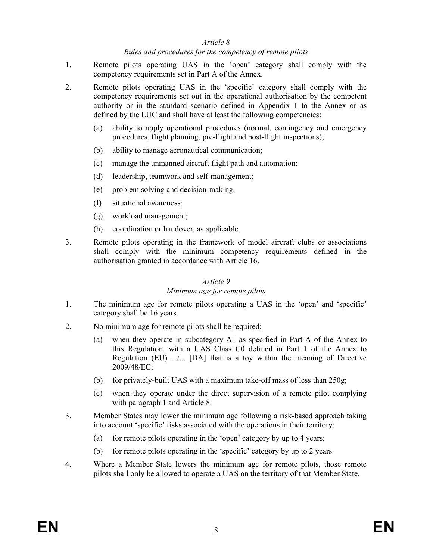#### Rules and procedures for the competency of remote pilots

- 1. Remote pilots operating UAS in the 'open' category shall comply with the competency requirements set in Part A of the Annex.
- 2. Remote pilots operating UAS in the 'specific' category shall comply with the competency requirements set out in the operational authorisation by the competent authority or in the standard scenario defined in Appendix 1 to the Annex or as defined by the LUC and shall have at least the following competencies:
	- (a) ability to apply operational procedures (normal, contingency and emergency procedures, flight planning, pre-flight and post-flight inspections);
	- (b) ability to manage aeronautical communication;
	- (c) manage the unmanned aircraft flight path and automation;
	- (d) leadership, teamwork and self-management;
	- (e) problem solving and decision-making;
	- (f) situational awareness;
	- (g) workload management;
	- (h) coordination or handover, as applicable.
- 3. Remote pilots operating in the framework of model aircraft clubs or associations shall comply with the minimum competency requirements defined in the authorisation granted in accordance with Article 16.

#### Article 9

#### Minimum age for remote pilots

- 1. The minimum age for remote pilots operating a UAS in the 'open' and 'specific' category shall be 16 years.
- 2. No minimum age for remote pilots shall be required:
	- (a) when they operate in subcategory A1 as specified in Part A of the Annex to this Regulation, with a UAS Class C0 defined in Part 1 of the Annex to Regulation (EU) .../... [DA] that is a toy within the meaning of Directive 2009/48/EC;
	- (b) for privately-built UAS with a maximum take-off mass of less than  $250g$ ;
	- (c) when they operate under the direct supervision of a remote pilot complying with paragraph 1 and Article 8.
- 3. Member States may lower the minimum age following a risk-based approach taking into account 'specific' risks associated with the operations in their territory:
	- (a) for remote pilots operating in the 'open' category by up to 4 years;
	- (b) for remote pilots operating in the 'specific' category by up to 2 years.
- 4. Where a Member State lowers the minimum age for remote pilots, those remote pilots shall only be allowed to operate a UAS on the territory of that Member State.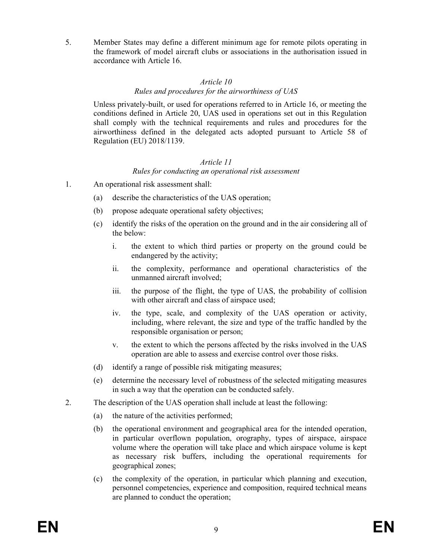5. Member States may define a different minimum age for remote pilots operating in the framework of model aircraft clubs or associations in the authorisation issued in accordance with Article 16.

## Article 10 Rules and procedures for the airworthiness of UAS

Unless privately-built, or used for operations referred to in Article 16, or meeting the conditions defined in Article 20, UAS used in operations set out in this Regulation shall comply with the technical requirements and rules and procedures for the airworthiness defined in the delegated acts adopted pursuant to Article 58 of Regulation (EU) 2018/1139.

## Article 11 Rules for conducting an operational risk assessment

- 1. An operational risk assessment shall:
	- (a) describe the characteristics of the UAS operation;
	- (b) propose adequate operational safety objectives;
	- (c) identify the risks of the operation on the ground and in the air considering all of the below:
		- i. the extent to which third parties or property on the ground could be endangered by the activity;
		- ii. the complexity, performance and operational characteristics of the unmanned aircraft involved;
		- iii. the purpose of the flight, the type of UAS, the probability of collision with other aircraft and class of airspace used;
		- iv. the type, scale, and complexity of the UAS operation or activity, including, where relevant, the size and type of the traffic handled by the responsible organisation or person;
		- v. the extent to which the persons affected by the risks involved in the UAS operation are able to assess and exercise control over those risks.
	- (d) identify a range of possible risk mitigating measures;
	- (e) determine the necessary level of robustness of the selected mitigating measures in such a way that the operation can be conducted safely.
- 2. The description of the UAS operation shall include at least the following:
	- (a) the nature of the activities performed;
	- (b) the operational environment and geographical area for the intended operation, in particular overflown population, orography, types of airspace, airspace volume where the operation will take place and which airspace volume is kept as necessary risk buffers, including the operational requirements for geographical zones;
	- (c) the complexity of the operation, in particular which planning and execution, personnel competencies, experience and composition, required technical means are planned to conduct the operation;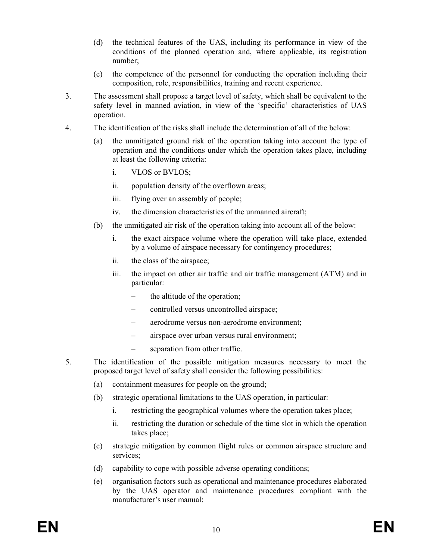- (d) the technical features of the UAS, including its performance in view of the conditions of the planned operation and, where applicable, its registration number;
- (e) the competence of the personnel for conducting the operation including their composition, role, responsibilities, training and recent experience.
- 3. The assessment shall propose a target level of safety, which shall be equivalent to the safety level in manned aviation, in view of the 'specific' characteristics of UAS operation.
- 4. The identification of the risks shall include the determination of all of the below:
	- (a) the unmitigated ground risk of the operation taking into account the type of operation and the conditions under which the operation takes place, including at least the following criteria:
		- i. VLOS or BVLOS;
		- ii. population density of the overflown areas;
		- iii. flying over an assembly of people;
		- iv. the dimension characteristics of the unmanned aircraft;
	- (b) the unmitigated air risk of the operation taking into account all of the below:
		- i. the exact airspace volume where the operation will take place, extended by a volume of airspace necessary for contingency procedures;
		- ii. the class of the airspace;
		- iii. the impact on other air traffic and air traffic management (ATM) and in particular:
			- the altitude of the operation;
			- controlled versus uncontrolled airspace;
			- aerodrome versus non-aerodrome environment;
			- airspace over urban versus rural environment;
			- separation from other traffic.
- 5. The identification of the possible mitigation measures necessary to meet the proposed target level of safety shall consider the following possibilities:
	- (a) containment measures for people on the ground;
	- (b) strategic operational limitations to the UAS operation, in particular:
		- i. restricting the geographical volumes where the operation takes place;
		- ii. restricting the duration or schedule of the time slot in which the operation takes place;
	- (c) strategic mitigation by common flight rules or common airspace structure and services;
	- (d) capability to cope with possible adverse operating conditions;
	- (e) organisation factors such as operational and maintenance procedures elaborated by the UAS operator and maintenance procedures compliant with the manufacturer's user manual;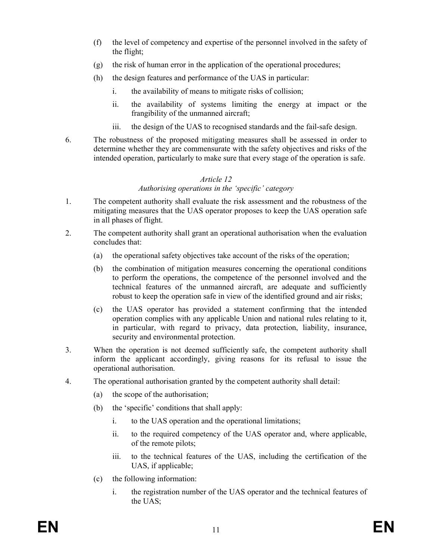- (f) the level of competency and expertise of the personnel involved in the safety of the flight;
- (g) the risk of human error in the application of the operational procedures;
- (h) the design features and performance of the UAS in particular:
	- i. the availability of means to mitigate risks of collision;
	- ii. the availability of systems limiting the energy at impact or the frangibility of the unmanned aircraft;
	- iii. the design of the UAS to recognised standards and the fail-safe design.
- 6. The robustness of the proposed mitigating measures shall be assessed in order to determine whether they are commensurate with the safety objectives and risks of the intended operation, particularly to make sure that every stage of the operation is safe.

### Authorising operations in the 'specific' category

- 1. The competent authority shall evaluate the risk assessment and the robustness of the mitigating measures that the UAS operator proposes to keep the UAS operation safe in all phases of flight.
- 2. The competent authority shall grant an operational authorisation when the evaluation concludes that:
	- (a) the operational safety objectives take account of the risks of the operation;
	- (b) the combination of mitigation measures concerning the operational conditions to perform the operations, the competence of the personnel involved and the technical features of the unmanned aircraft, are adequate and sufficiently robust to keep the operation safe in view of the identified ground and air risks;
	- (c) the UAS operator has provided a statement confirming that the intended operation complies with any applicable Union and national rules relating to it, in particular, with regard to privacy, data protection, liability, insurance, security and environmental protection.
- 3. When the operation is not deemed sufficiently safe, the competent authority shall inform the applicant accordingly, giving reasons for its refusal to issue the operational authorisation.
- 4. The operational authorisation granted by the competent authority shall detail:
	- (a) the scope of the authorisation;
	- (b) the 'specific' conditions that shall apply:
		- i. to the UAS operation and the operational limitations;
		- ii. to the required competency of the UAS operator and, where applicable, of the remote pilots;
		- iii. to the technical features of the UAS, including the certification of the UAS, if applicable;
	- (c) the following information:
		- i. the registration number of the UAS operator and the technical features of the UAS;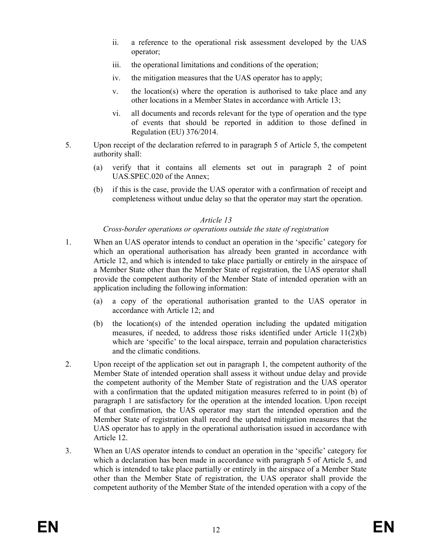- ii. a reference to the operational risk assessment developed by the UAS operator;
- iii. the operational limitations and conditions of the operation;
- iv. the mitigation measures that the UAS operator has to apply;
- v. the location(s) where the operation is authorised to take place and any other locations in a Member States in accordance with Article 13;
- vi. all documents and records relevant for the type of operation and the type of events that should be reported in addition to those defined in Regulation (EU) 376/2014.
- 5. Upon receipt of the declaration referred to in paragraph 5 of Article 5, the competent authority shall:
	- (a) verify that it contains all elements set out in paragraph 2 of point UAS.SPEC.020 of the Annex;
	- (b) if this is the case, provide the UAS operator with a confirmation of receipt and completeness without undue delay so that the operator may start the operation.

## Cross-border operations or operations outside the state of registration

- 1. When an UAS operator intends to conduct an operation in the 'specific' category for which an operational authorisation has already been granted in accordance with Article 12, and which is intended to take place partially or entirely in the airspace of a Member State other than the Member State of registration, the UAS operator shall provide the competent authority of the Member State of intended operation with an application including the following information:
	- (a) a copy of the operational authorisation granted to the UAS operator in accordance with Article 12; and
	- (b) the location(s) of the intended operation including the updated mitigation measures, if needed, to address those risks identified under Article 11(2)(b) which are 'specific' to the local airspace, terrain and population characteristics and the climatic conditions.
- 2. Upon receipt of the application set out in paragraph 1, the competent authority of the Member State of intended operation shall assess it without undue delay and provide the competent authority of the Member State of registration and the UAS operator with a confirmation that the updated mitigation measures referred to in point (b) of paragraph 1 are satisfactory for the operation at the intended location. Upon receipt of that confirmation, the UAS operator may start the intended operation and the Member State of registration shall record the updated mitigation measures that the UAS operator has to apply in the operational authorisation issued in accordance with Article 12.
- 3. When an UAS operator intends to conduct an operation in the 'specific' category for which a declaration has been made in accordance with paragraph 5 of Article 5, and which is intended to take place partially or entirely in the airspace of a Member State other than the Member State of registration, the UAS operator shall provide the competent authority of the Member State of the intended operation with a copy of the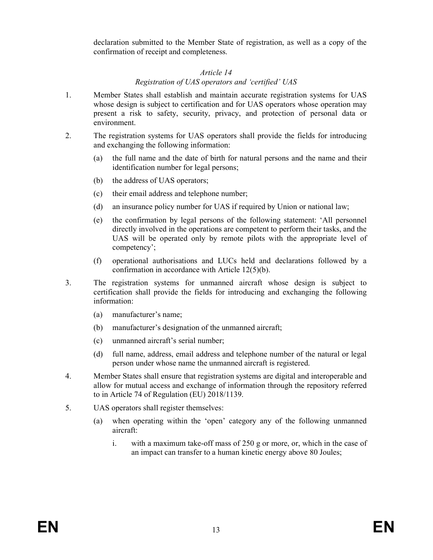declaration submitted to the Member State of registration, as well as a copy of the confirmation of receipt and completeness.

### Article 14

#### Registration of UAS operators and 'certified' UAS

- 1. Member States shall establish and maintain accurate registration systems for UAS whose design is subject to certification and for UAS operators whose operation may present a risk to safety, security, privacy, and protection of personal data or environment.
- 2. The registration systems for UAS operators shall provide the fields for introducing and exchanging the following information:
	- (a) the full name and the date of birth for natural persons and the name and their identification number for legal persons;
	- (b) the address of UAS operators;
	- (c) their email address and telephone number;
	- (d) an insurance policy number for UAS if required by Union or national law;
	- (e) the confirmation by legal persons of the following statement: 'All personnel directly involved in the operations are competent to perform their tasks, and the UAS will be operated only by remote pilots with the appropriate level of competency';
	- (f) operational authorisations and LUCs held and declarations followed by a confirmation in accordance with Article 12(5)(b).
- 3. The registration systems for unmanned aircraft whose design is subject to certification shall provide the fields for introducing and exchanging the following information:
	- (a) manufacturer's name;
	- (b) manufacturer's designation of the unmanned aircraft;
	- (c) unmanned aircraft's serial number;
	- (d) full name, address, email address and telephone number of the natural or legal person under whose name the unmanned aircraft is registered.
- 4. Member States shall ensure that registration systems are digital and interoperable and allow for mutual access and exchange of information through the repository referred to in Article 74 of Regulation (EU) 2018/1139.
- 5. UAS operators shall register themselves:
	- (a) when operating within the 'open' category any of the following unmanned aircraft:
		- i. with a maximum take-off mass of 250 g or more, or, which in the case of an impact can transfer to a human kinetic energy above 80 Joules;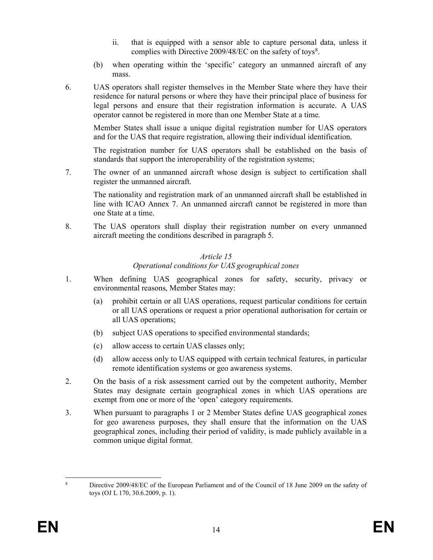- ii. that is equipped with a sensor able to capture personal data, unless it complies with Directive 2009/48/EC on the safety of toys<sup>8</sup>.
- (b) when operating within the 'specific' category an unmanned aircraft of any mass.
- 6. UAS operators shall register themselves in the Member State where they have their residence for natural persons or where they have their principal place of business for legal persons and ensure that their registration information is accurate. A UAS operator cannot be registered in more than one Member State at a time.

Member States shall issue a unique digital registration number for UAS operators and for the UAS that require registration, allowing their individual identification.

The registration number for UAS operators shall be established on the basis of standards that support the interoperability of the registration systems;

7. The owner of an unmanned aircraft whose design is subject to certification shall register the unmanned aircraft.

The nationality and registration mark of an unmanned aircraft shall be established in line with ICAO Annex 7. An unmanned aircraft cannot be registered in more than one State at a time.

8. The UAS operators shall display their registration number on every unmanned aircraft meeting the conditions described in paragraph 5.

## Article 15 Operational conditions for UAS geographical zones

- 1. When defining UAS geographical zones for safety, security, privacy or environmental reasons, Member States may:
	- (a) prohibit certain or all UAS operations, request particular conditions for certain or all UAS operations or request a prior operational authorisation for certain or all UAS operations;
	- (b) subject UAS operations to specified environmental standards;
	- (c) allow access to certain UAS classes only;
	- (d) allow access only to UAS equipped with certain technical features, in particular remote identification systems or geo awareness systems.
- 2. On the basis of a risk assessment carried out by the competent authority, Member States may designate certain geographical zones in which UAS operations are exempt from one or more of the 'open' category requirements.
- 3. When pursuant to paragraphs 1 or 2 Member States define UAS geographical zones for geo awareness purposes, they shall ensure that the information on the UAS geographical zones, including their period of validity, is made publicly available in a common unique digital format.

<sup>-</sup>8 Directive 2009/48/EC of the European Parliament and of the Council of 18 June 2009 on the safety of toys (OJ L 170, 30.6.2009, p. 1).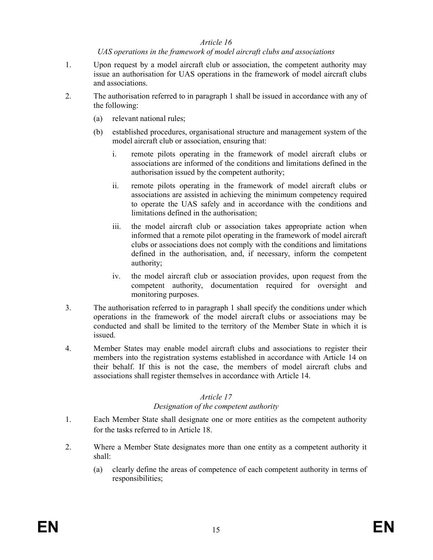### UAS operations in the framework of model aircraft clubs and associations

- 1. Upon request by a model aircraft club or association, the competent authority may issue an authorisation for UAS operations in the framework of model aircraft clubs and associations.
- 2. The authorisation referred to in paragraph 1 shall be issued in accordance with any of the following:
	- (a) relevant national rules;
	- (b) established procedures, organisational structure and management system of the model aircraft club or association, ensuring that:
		- i. remote pilots operating in the framework of model aircraft clubs or associations are informed of the conditions and limitations defined in the authorisation issued by the competent authority;
		- ii. remote pilots operating in the framework of model aircraft clubs or associations are assisted in achieving the minimum competency required to operate the UAS safely and in accordance with the conditions and limitations defined in the authorisation;
		- iii. the model aircraft club or association takes appropriate action when informed that a remote pilot operating in the framework of model aircraft clubs or associations does not comply with the conditions and limitations defined in the authorisation, and, if necessary, inform the competent authority;
		- iv. the model aircraft club or association provides, upon request from the competent authority, documentation required for oversight and monitoring purposes.
- 3. The authorisation referred to in paragraph 1 shall specify the conditions under which operations in the framework of the model aircraft clubs or associations may be conducted and shall be limited to the territory of the Member State in which it is issued.
- 4. Member States may enable model aircraft clubs and associations to register their members into the registration systems established in accordance with Article 14 on their behalf. If this is not the case, the members of model aircraft clubs and associations shall register themselves in accordance with Article 14.

## Article 17

### Designation of the competent authority

- 1. Each Member State shall designate one or more entities as the competent authority for the tasks referred to in Article 18.
- 2. Where a Member State designates more than one entity as a competent authority it shall:
	- (a) clearly define the areas of competence of each competent authority in terms of responsibilities;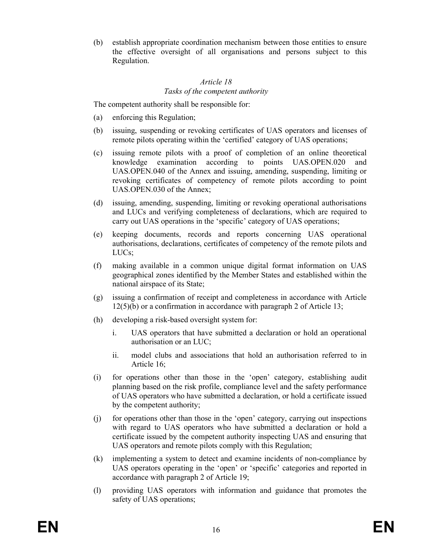(b) establish appropriate coordination mechanism between those entities to ensure the effective oversight of all organisations and persons subject to this Regulation.

## Article 18 Tasks of the competent authority

The competent authority shall be responsible for:

- (a) enforcing this Regulation;
- (b) issuing, suspending or revoking certificates of UAS operators and licenses of remote pilots operating within the 'certified' category of UAS operations;
- (c) issuing remote pilots with a proof of completion of an online theoretical knowledge examination according to points UAS.OPEN.020 and UAS.OPEN.040 of the Annex and issuing, amending, suspending, limiting or revoking certificates of competency of remote pilots according to point UAS.OPEN.030 of the Annex;
- (d) issuing, amending, suspending, limiting or revoking operational authorisations and LUCs and verifying completeness of declarations, which are required to carry out UAS operations in the 'specific' category of UAS operations;
- (e) keeping documents, records and reports concerning UAS operational authorisations, declarations, certificates of competency of the remote pilots and LUCs;
- (f) making available in a common unique digital format information on UAS geographical zones identified by the Member States and established within the national airspace of its State;
- (g) issuing a confirmation of receipt and completeness in accordance with Article 12(5)(b) or a confirmation in accordance with paragraph 2 of Article 13;
- (h) developing a risk-based oversight system for:
	- i. UAS operators that have submitted a declaration or hold an operational authorisation or an LUC;
	- ii. model clubs and associations that hold an authorisation referred to in Article 16;
- (i) for operations other than those in the 'open' category, establishing audit planning based on the risk profile, compliance level and the safety performance of UAS operators who have submitted a declaration, or hold a certificate issued by the competent authority;
- (j) for operations other than those in the 'open' category, carrying out inspections with regard to UAS operators who have submitted a declaration or hold a certificate issued by the competent authority inspecting UAS and ensuring that UAS operators and remote pilots comply with this Regulation;
- (k) implementing a system to detect and examine incidents of non-compliance by UAS operators operating in the 'open' or 'specific' categories and reported in accordance with paragraph 2 of Article 19;
- (l) providing UAS operators with information and guidance that promotes the safety of UAS operations;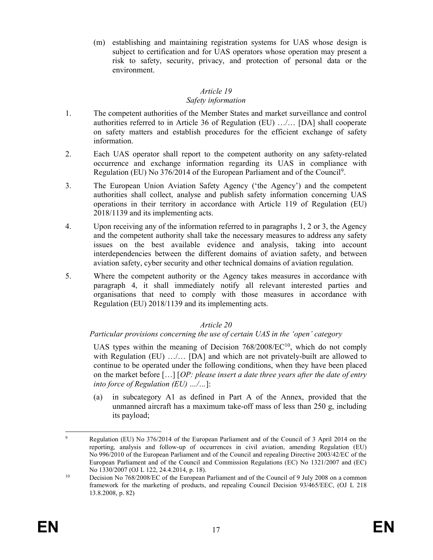(m) establishing and maintaining registration systems for UAS whose design is subject to certification and for UAS operators whose operation may present a risk to safety, security, privacy, and protection of personal data or the environment.

## Article 19

## Safety information

- 1. The competent authorities of the Member States and market surveillance and control authorities referred to in Article 36 of Regulation (EU) …/… [DA] shall cooperate on safety matters and establish procedures for the efficient exchange of safety information.
- 2. Each UAS operator shall report to the competent authority on any safety-related occurrence and exchange information regarding its UAS in compliance with Regulation (EU) No 376/2014 of the European Parliament and of the Council<sup>9</sup>.
- 3. The European Union Aviation Safety Agency ('the Agency') and the competent authorities shall collect, analyse and publish safety information concerning UAS operations in their territory in accordance with Article 119 of Regulation (EU) 2018/1139 and its implementing acts.
- 4. Upon receiving any of the information referred to in paragraphs 1, 2 or 3, the Agency and the competent authority shall take the necessary measures to address any safety issues on the best available evidence and analysis, taking into account interdependencies between the different domains of aviation safety, and between aviation safety, cyber security and other technical domains of aviation regulation.
- 5. Where the competent authority or the Agency takes measures in accordance with paragraph 4, it shall immediately notify all relevant interested parties and organisations that need to comply with those measures in accordance with Regulation (EU) 2018/1139 and its implementing acts.

## Article 20

## Particular provisions concerning the use of certain UAS in the 'open' category

UAS types within the meaning of Decision  $768/2008/EC^{10}$ , which do not comply with Regulation (EU) ........ [DA] and which are not privately-built are allowed to continue to be operated under the following conditions, when they have been placed on the market before  $[...]$  [OP: please insert a date three years after the date of entry into force of Regulation (EU) …/…]:

(a) in subcategory A1 as defined in Part A of the Annex, provided that the unmanned aircraft has a maximum take-off mass of less than 250 g, including its payload;

<sup>–&</sup>lt;br>9 Regulation (EU) No 376/2014 of the European Parliament and of the Council of 3 April 2014 on the reporting, analysis and follow-up of occurrences in civil aviation, amending Regulation (EU) No 996/2010 of the European Parliament and of the Council and repealing Directive 2003/42/EC of the European Parliament and of the Council and Commission Regulations (EC) No 1321/2007 and (EC) No 1330/2007 (OJ L 122, 24.4.2014, p. 18).

<sup>&</sup>lt;sup>10</sup> Decision No 768/2008/EC of the European Parliament and of the Council of 9 July 2008 on a common framework for the marketing of products, and repealing Council Decision 93/465/EEC, (OJ L 218 13.8.2008, p. 82)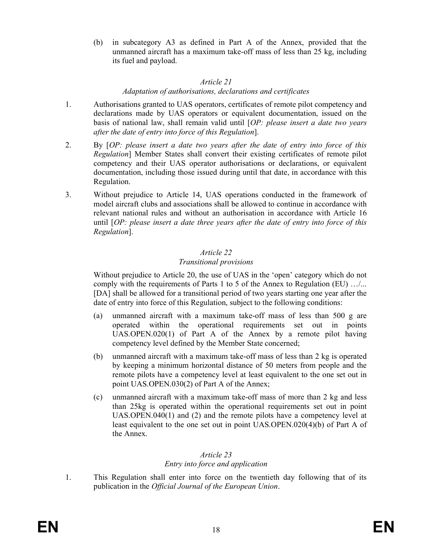(b) in subcategory A3 as defined in Part A of the Annex, provided that the unmanned aircraft has a maximum take-off mass of less than 25 kg, including its fuel and payload.

## Article 21 Adaptation of authorisations, declarations and certificates

- 1. Authorisations granted to UAS operators, certificates of remote pilot competency and declarations made by UAS operators or equivalent documentation, issued on the basis of national law, shall remain valid until [OP: please insert a date two years after the date of entry into force of this Regulation].
- 2. By [OP: please insert a date two years after the date of entry into force of this Regulation] Member States shall convert their existing certificates of remote pilot competency and their UAS operator authorisations or declarations, or equivalent documentation, including those issued during until that date, in accordance with this Regulation.
- 3. Without prejudice to Article 14, UAS operations conducted in the framework of model aircraft clubs and associations shall be allowed to continue in accordance with relevant national rules and without an authorisation in accordance with Article 16 until  $[OP: please insert a date three years after the date of entry into force of this$ Regulation].

## Article 22

## Transitional provisions

Without prejudice to Article 20, the use of UAS in the 'open' category which do not comply with the requirements of Parts 1 to 5 of the Annex to Regulation (EU) …/... [DA] shall be allowed for a transitional period of two years starting one year after the date of entry into force of this Regulation, subject to the following conditions:

- (a) unmanned aircraft with a maximum take-off mass of less than 500 g are operated within the operational requirements set out in points UAS.OPEN.020(1) of Part A of the Annex by a remote pilot having competency level defined by the Member State concerned;
- (b) unmanned aircraft with a maximum take-off mass of less than 2 kg is operated by keeping a minimum horizontal distance of 50 meters from people and the remote pilots have a competency level at least equivalent to the one set out in point UAS.OPEN.030(2) of Part A of the Annex;
- (c) unmanned aircraft with a maximum take-off mass of more than 2 kg and less than 25kg is operated within the operational requirements set out in point UAS.OPEN.040(1) and (2) and the remote pilots have a competency level at least equivalent to the one set out in point UAS.OPEN.020(4)(b) of Part A of the Annex.

# Article 23 Entry into force and application

1. This Regulation shall enter into force on the twentieth day following that of its publication in the Official Journal of the European Union.